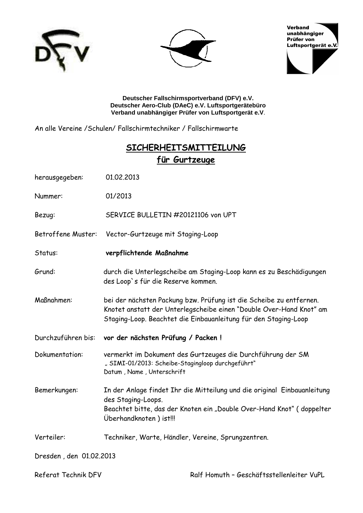





**Deutscher Fallschirmsportverband (DFV) e.V. Deutscher Aero-Club (DAeC) e.V. Luftsportgerätebüro Verband unabhängiger Prüfer von Luftsportgerät e.V**.

An alle Vereine /Schulen/ Fallschirmtechniker / Fallschirmwarte

### **---**  für Gurtzeuge

| herausgegeben:          | 01.02.2013                                                                                                                                                                                                    |
|-------------------------|---------------------------------------------------------------------------------------------------------------------------------------------------------------------------------------------------------------|
| Nummer:                 | 01/2013                                                                                                                                                                                                       |
| Bezug:                  | SERVICE BULLETIN #20121106 von UPT                                                                                                                                                                            |
| Betroffene Muster:      | Vector-Gurtzeuge mit Staging-Loop                                                                                                                                                                             |
| Status:                 | verpflichtende Maßnahme                                                                                                                                                                                       |
| Grund:                  | durch die Unterlegscheibe am Staging-Loop kann es zu Beschädigungen<br>des Loop's für die Reserve kommen.                                                                                                     |
| Maßnahmen:              | bei der nächsten Packung bzw. Prüfung ist die Scheibe zu entfernen.<br>Knotet anstatt der Unterlegscheibe einen "Double Over-Hand Knot" am<br>Staging-Loop. Beachtet die Einbauanleitung für den Staging-Loop |
| Durchzuführen bis:      | vor der nächsten Prüfung / Packen !                                                                                                                                                                           |
| Dokumentation:          | vermerkt im Dokument des Gurtzeuges die Durchführung der SM<br>"SIMI-01/2013: Scheibe-Stagingloop durchgeführt"<br>Datum, Name, Unterschrift                                                                  |
| Bemerkungen:            | In der Anlage findet Ihr die Mitteilung und die original Einbauanleitung<br>des Staging-Loops.<br>Beachtet bitte, das der Knoten ein "Double Over-Hand Knot" (doppelter<br>Überhandknoten) ist!!!             |
| Verteiler:              | Techniker, Warte, Händler, Vereine, Sprungzentren.                                                                                                                                                            |
| Dresden, den 01.02.2013 |                                                                                                                                                                                                               |

Referat Technik DFV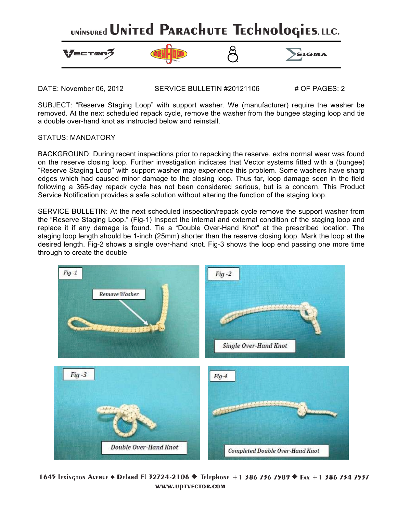

DATE: November 06, 2012 SERVICE BULLETIN #20121106 # OF PAGES: 2

SUBJECT: "Reserve Staging Loop" with support washer. We (manufacturer) require the washer be removed. At the next scheduled repack cycle, remove the washer from the bungee staging loop and tie a double over-hand knot as instructed below and reinstall.

### STATUS: MANDATORY

BACKGROUND: During recent inspections prior to repacking the reserve, extra normal wear was found on the reserve closing loop. Further investigation indicates that Vector systems fitted with a (bungee) "Reserve Staging Loop" with support washer may experience this problem. Some washers have sharp edges which had caused minor damage to the closing loop. Thus far, loop damage seen in the field following a 365-day repack cycle has not been considered serious, but is a concern. This Product Service Notification provides a safe solution without altering the function of the staging loop.

SERVICE BULLETIN: At the next scheduled inspection/repack cycle remove the support washer from the "Reserve Staging Loop." (Fig-1) Inspect the internal and external condition of the staging loop and replace it if any damage is found. Tie a "Double Over-Hand Knot" at the prescribed location. The staging loop length should be 1-inch (25mm) shorter than the reserve closing loop. Mark the loop at the desired length. Fig-2 shows a single over-hand knot. Fig-3 shows the loop end passing one more time through to create the double



1645 Lexington Avenue ♦ Deland Fl 32724-2106 ♦ Telephone +1 386 736 7589 ♦ Fax +1 386 734 7537 WWW.UDTVECTOR.COM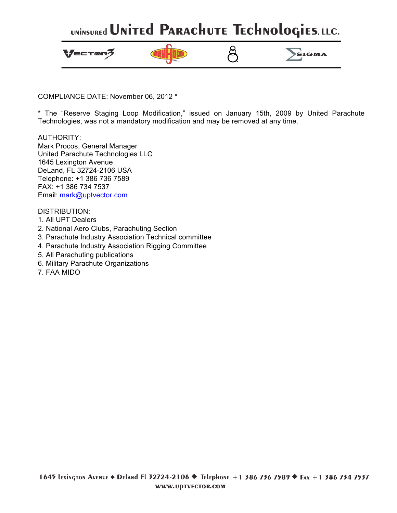# UNINSUREd UNITEd PARACHUTE TECHNOLOGIES, LLC.



COMPLIANCE DATE: November 06, 2012 \*

\* The "Reserve Staging Loop Modification," issued on January 15th, 2009 by United Parachute Technologies, was not a mandatory modification and may be removed at any time.

AUTHORITY: Mark Procos, General Manager United Parachute Technologies LLC 1645 Lexington Avenue DeLand, FL 32724-2106 USA Telephone: +1 386 736 7589 FAX: +1 386 734 7537 Email: mark@uptvector.com

DISTRIBUTION:

- 1. All UPT Dealers
- 2. National Aero Clubs, Parachuting Section
- 3. Parachute Industry Association Technical committee
- 4. Parachute Industry Association Rigging Committee
- 5. All Parachuting publications
- 6. Military Parachute Organizations
- 7. FAA MIDO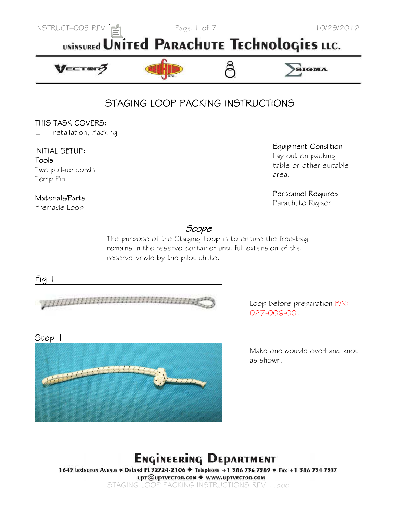

# UNINSUREd UNITEd PARACHUTE TECHNOLOGIES LLC.



# STAGING LOOP PACKING INSTRUCTIONS

### THIS TASK COVERS:

 *Installation, Packing* 

### **INITIAL SETUP:**

Tools *Two pull-up cords Temp Pin* 

### Materials/Parts

*Premade Loop* 

### Equipment Condition

*Lay out on packing table or other suitable area.* 

### Personnel Required

*Parachute Rigger* 

### <u>Scope</u>

 *The purpose of the Staging Loop is to ensure the free-bag remains in the reserve container until full extension of the reserve bridle by the pilot chute.*



*Loop before preparation P/N: 027-006-001* 

### Step 1



*Make one double overhand knot as shown.* 

# **ENGINEERING DEPARTMENT**

1645 LEXINGTON AVENUE · DELANd FL 32724-2106 · Telephone +1 386 736 7589 · FAX +1 386 734 7537 upт@upтvECTOR.COM ◆ www.upтvECTOR.COM

*STAGING LOOP PACKING INSTRUCTIONS REV 1.doc*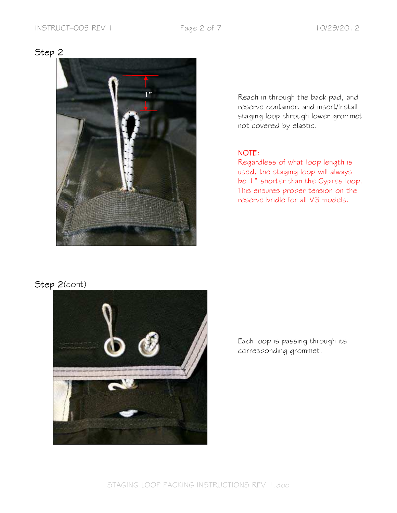Step 2(cont)



*Reach in through the back pad, and reserve container, and insert/Install staging loop through lower grommet not covered by elastic.* 

### **NOTE:**

*Regardless of what loop length is used, the staging loop will always be 1" shorter than the Cypres loop. This ensures proper tension on the reserve bridle for all V3 models.* 

*Each loop is passing through its corresponding grommet.*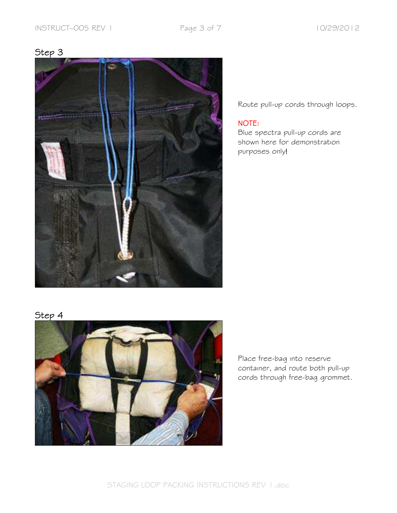

*Route pull-up cords through loops.* 

### NOTE:

*Blue spectra pull-up cords are shown here for demonstration purposes only!*

# Step 4



*Place free-bag into reserve container, and route both pull-up cords through free-bag grommet.*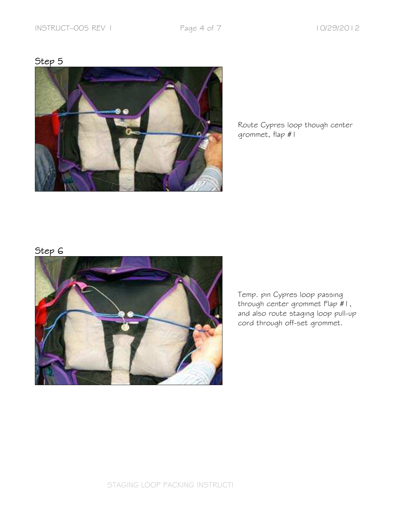

*Route Cypres loop though center grommet, flap #1* 

# Step 6



*Temp. pin Cypres loop passing through center grommet Flap #1, and also route staging loop pull-up cord through off-set grommet.*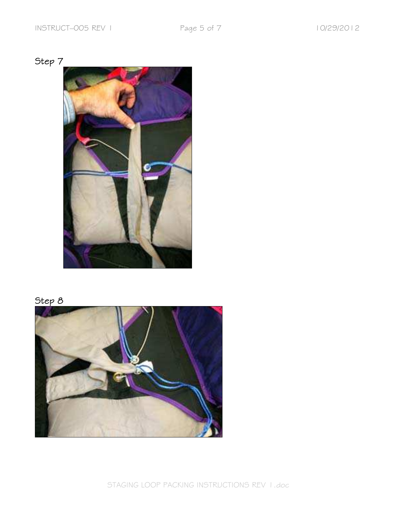





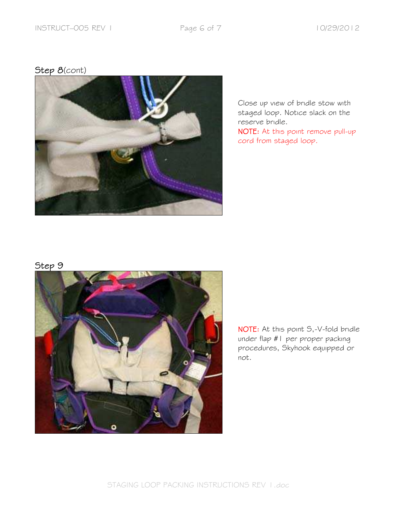# Step 8(cont)



*Close up view of bridle stow with staged loop. Notice slack on the reserve bridle.* 

*At this point remove pull-up cord from staged loop.*

# Step 9



*At this point S,-V-fold bridle under flap #1 per proper packing procedures, Skyhook equipped or not.*